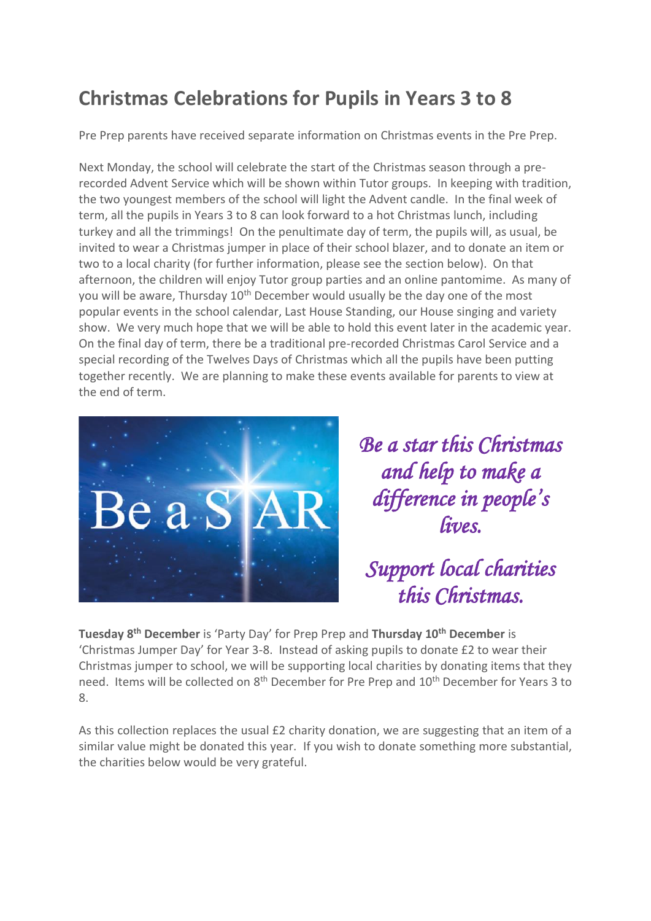# **Christmas Celebrations for Pupils in Years 3 to 8**

Pre Prep parents have received separate information on Christmas events in the Pre Prep.

Next Monday, the school will celebrate the start of the Christmas season through a prerecorded Advent Service which will be shown within Tutor groups. In keeping with tradition, the two youngest members of the school will light the Advent candle. In the final week of term, all the pupils in Years 3 to 8 can look forward to a hot Christmas lunch, including turkey and all the trimmings! On the penultimate day of term, the pupils will, as usual, be invited to wear a Christmas jumper in place of their school blazer, and to donate an item or two to a local charity (for further information, please see the section below). On that afternoon, the children will enjoy Tutor group parties and an online pantomime. As many of you will be aware, Thursday 10<sup>th</sup> December would usually be the day one of the most popular events in the school calendar, Last House Standing, our House singing and variety show. We very much hope that we will be able to hold this event later in the academic year. On the final day of term, there be a traditional pre-recorded Christmas Carol Service and a special recording of the Twelves Days of Christmas which all the pupils have been putting together recently. We are planning to make these events available for parents to view at the end of term.



*Be a star this Christmas and help to make a difference in people's lives.* 

# *Support local charities this Christmas.*

**Tuesday 8 th December** is 'Party Day' for Prep Prep and **Thursday 10th December** is 'Christmas Jumper Day' for Year 3-8. Instead of asking pupils to donate £2 to wear their Christmas jumper to school, we will be supporting local charities by donating items that they need. Items will be collected on 8<sup>th</sup> December for Pre Prep and 10<sup>th</sup> December for Years 3 to 8.

As this collection replaces the usual £2 charity donation, we are suggesting that an item of a similar value might be donated this year. If you wish to donate something more substantial, the charities below would be very grateful.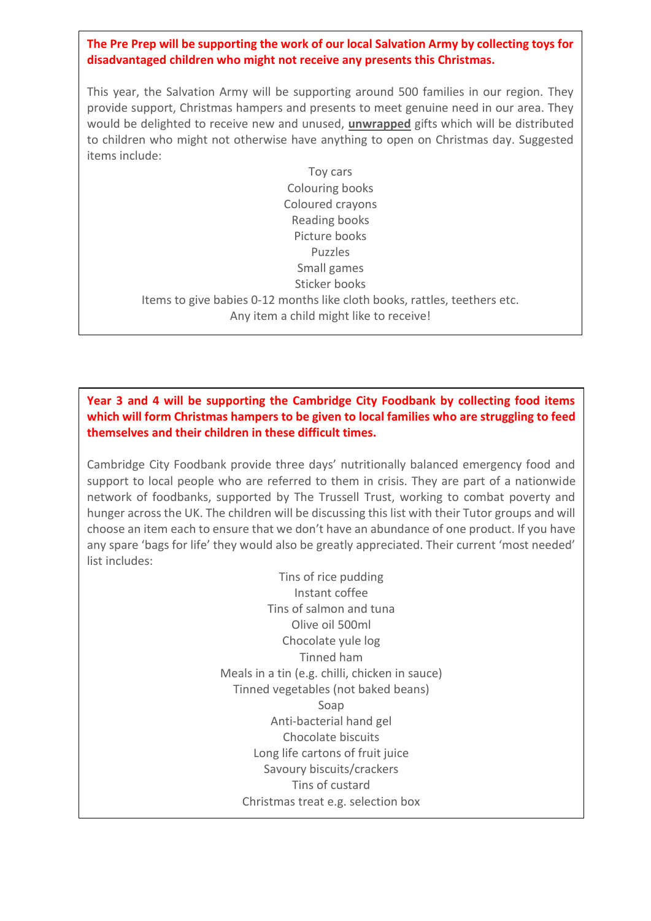### **The Pre Prep will be supporting the work of our local Salvation Army by collecting toys for disadvantaged children who might not receive any presents this Christmas.**

This year, the Salvation Army will be supporting around 500 families in our region. They provide support, Christmas hampers and presents to meet genuine need in our area. They would be delighted to receive new and unused, **unwrapped** gifts which will be distributed to children who might not otherwise have anything to open on Christmas day. Suggested items include:

Toy cars Colouring books Coloured crayons Reading books Picture books Puzzles Small games Sticker books Items to give babies 0-12 months like cloth books, rattles, teethers etc. Any item a child might like to receive!

#### **Year 3 and 4 will be supporting the Cambridge City Foodbank by collecting food items which will form Christmas hampers to be given to local families who are struggling to feed themselves and their children in these difficult times.**

Cambridge City Foodbank provide three days' nutritionally balanced emergency food and support to local people who are referred to them in crisis. They are part of a nationwide network of foodbanks, supported by The Trussell Trust, working to combat poverty and hunger across the UK. The children will be discussing this list with their Tutor groups and will choose an item each to ensure that we don't have an abundance of one product. If you have any spare 'bags for life' they would also be greatly appreciated. Their current 'most needed' list includes:

> Tins of rice pudding Instant coffee Tins of salmon and tuna Olive oil 500ml Chocolate yule log Tinned ham Meals in a tin (e.g. chilli, chicken in sauce) Tinned vegetables (not baked beans) Soap Anti-bacterial hand gel Chocolate biscuits Long life cartons of fruit juice Savoury biscuits/crackers Tins of custard Christmas treat e.g. selection box